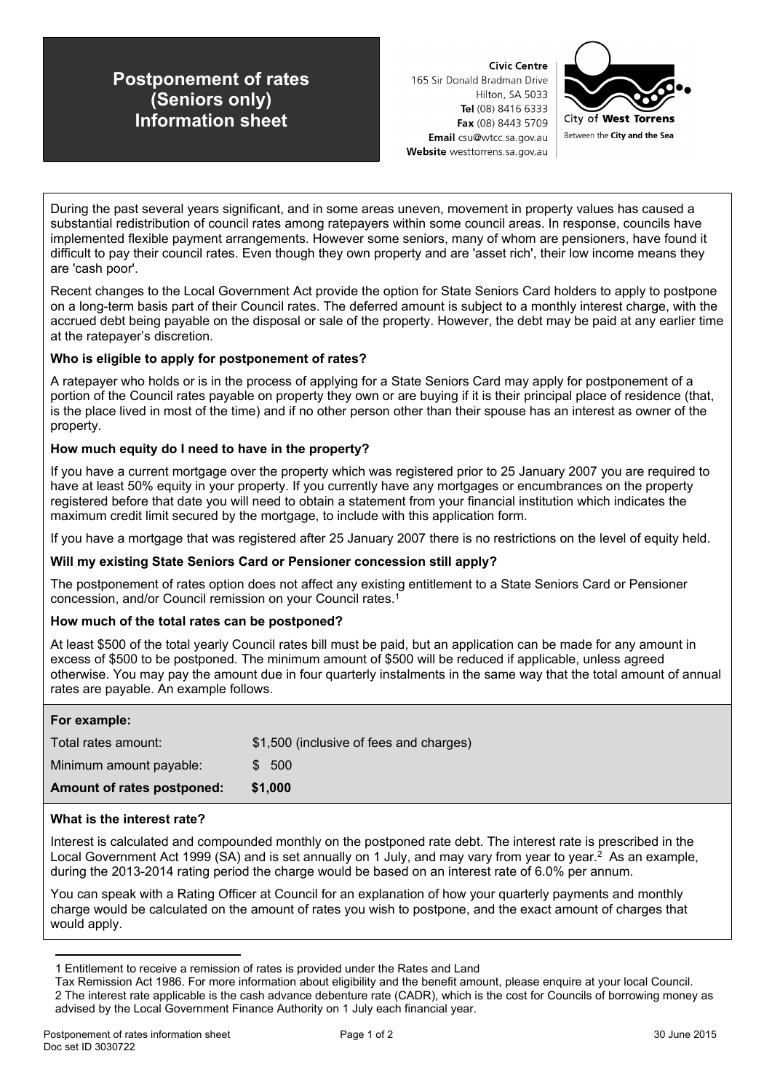# **Postponement of rates (Seniors only) Information sheet**

**Civic Centre** 165 Sir Donald Bradman Drive Hilton, SA 5033 Tel (08) 8416 6333 Fax (08) 8443 5709 Email csu@wtcc.sa.gov.au Website westtorrens.sa.gov.au



During the past several years significant, and in some areas uneven, movement in property values has caused a substantial redistribution of council rates among ratepayers within some council areas. In response, councils have implemented flexible payment arrangements. However some seniors, many of whom are pensioners, have found it difficult to pay their council rates. Even though they own property and are 'asset rich', their low income means they are 'cash poor'.

Recent changes to the Local Government Act provide the option for State Seniors Card holders to apply to postpone on a long-term basis part of their Council rates. The deferred amount is subject to a monthly interest charge, with the accrued debt being payable on the disposal or sale of the property. However, the debt may be paid at any earlier time at the ratepayer's discretion.

## **Who is eligible to apply for postponement of rates?**

A ratepayer who holds or is in the process of applying for a State Seniors Card may apply for postponement of a portion of the Council rates payable on property they own or are buying if it is their principal place of residence (that, is the place lived in most of the time) and if no other person other than their spouse has an interest as owner of the property.

## **How much equity do I need to have in the property?**

If you have a current mortgage over the property which was registered prior to 25 January 2007 you are required to have at least 50% equity in your property. If you currently have any mortgages or encumbrances on the property registered before that date you will need to obtain a statement from your financial institution which indicates the maximum credit limit secured by the mortgage, to include with this application form.

If you have a mortgage that was registered after 25 January 2007 there is no restrictions on the level of equity held.

## **Will my existing State Seniors Card or Pensioner concession still apply?**

The postponement of rates option does not affect any existing entitlement to a State Seniors Card or Pensioner concession, and/or Council remission on your Council rates.<sup>1</sup>

## **How much of the total rates can be postponed?**

At least \$500 of the total yearly Council rates bill must be paid, but an application can be made for any amount in excess of \$500 to be postponed. The minimum amount of \$500 will be reduced if applicable, unless agreed otherwise. You may pay the amount due in four quarterly instalments in the same way that the total amount of annual rates are payable. An example follows.

| For example:               |                                         |
|----------------------------|-----------------------------------------|
| Total rates amount:        | \$1,500 (inclusive of fees and charges) |
| Minimum amount payable:    | \$500                                   |
| Amount of rates postponed: | \$1,000                                 |

## **What is the interest rate?**

Interest is calculated and compounded monthly on the postponed rate debt. The interest rate is prescribed in the Local Government Act 1999 (SA) and is set annually on 1 July, and may vary from year to year.<sup>2</sup> As an example, during the 2013-2014 rating period the charge would be based on an interest rate of 6.0% per annum.

You can speak with a Rating Officer at Council for an explanation of how your quarterly payments and monthly charge would be calculated on the amount of rates you wish to postpone, and the exact amount of charges that would apply.

<sup>1</sup> Entitlement to receive a remission of rates is provided under the Rates and Land

Tax Remission Act 1986. For more information about eligibility and the benefit amount, please enquire at your local Council. 2 The interest rate applicable is the cash advance debenture rate (CADR), which is the cost for Councils of borrowing money as advised by the Local Government Finance Authority on 1 July each financial year.